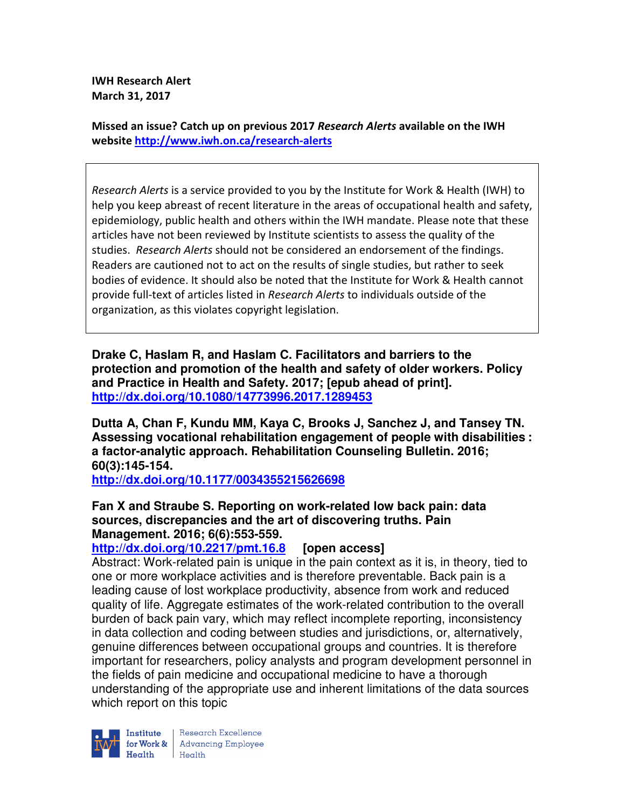**IWH Research Alert March 31, 2017** 

**Missed an issue? Catch up on previous 2017** *Research Alerts* **available on the IWH website http://www.iwh.on.ca/research-alerts**

*Research Alerts* is a service provided to you by the Institute for Work & Health (IWH) to help you keep abreast of recent literature in the areas of occupational health and safety, epidemiology, public health and others within the IWH mandate. Please note that these articles have not been reviewed by Institute scientists to assess the quality of the studies. *Research Alerts* should not be considered an endorsement of the findings. Readers are cautioned not to act on the results of single studies, but rather to seek bodies of evidence. It should also be noted that the Institute for Work & Health cannot provide full-text of articles listed in *Research Alerts* to individuals outside of the organization, as this violates copyright legislation.

**Drake C, Haslam R, and Haslam C. Facilitators and barriers to the protection and promotion of the health and safety of older workers. Policy and Practice in Health and Safety. 2017; [epub ahead of print]. http://dx.doi.org/10.1080/14773996.2017.1289453** 

**Dutta A, Chan F, Kundu MM, Kaya C, Brooks J, Sanchez J, and Tansey TN. Assessing vocational rehabilitation engagement of people with disabilities : a factor-analytic approach. Rehabilitation Counseling Bulletin. 2016; 60(3):145-154.** 

**http://dx.doi.org/10.1177/0034355215626698** 

# **Fan X and Straube S. Reporting on work-related low back pain: data sources, discrepancies and the art of discovering truths. Pain Management. 2016; 6(6):553-559.**

**http://dx.doi.org/10.2217/pmt.16.8 [open access]**

Abstract: Work-related pain is unique in the pain context as it is, in theory, tied to one or more workplace activities and is therefore preventable. Back pain is a leading cause of lost workplace productivity, absence from work and reduced quality of life. Aggregate estimates of the work-related contribution to the overall burden of back pain vary, which may reflect incomplete reporting, inconsistency in data collection and coding between studies and jurisdictions, or, alternatively, genuine differences between occupational groups and countries. It is therefore important for researchers, policy analysts and program development personnel in the fields of pain medicine and occupational medicine to have a thorough understanding of the appropriate use and inherent limitations of the data sources which report on this topic



Research Excellence for Work & | Advancing Employee  $H_{\text{eath}}$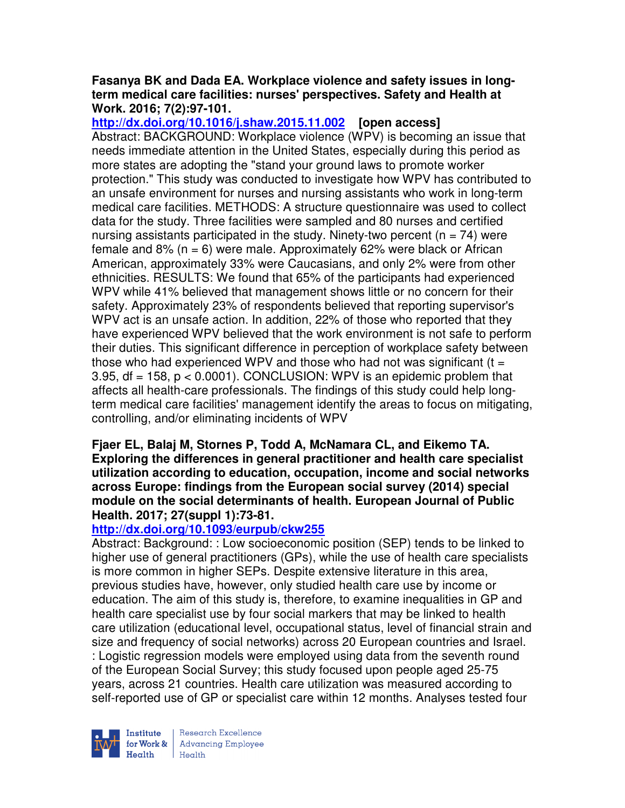### **Fasanya BK and Dada EA. Workplace violence and safety issues in longterm medical care facilities: nurses' perspectives. Safety and Health at Work. 2016; 7(2):97-101.**

**http://dx.doi.org/10.1016/j.shaw.2015.11.002 [open access]** Abstract: BACKGROUND: Workplace violence (WPV) is becoming an issue that needs immediate attention in the United States, especially during this period as more states are adopting the "stand your ground laws to promote worker protection." This study was conducted to investigate how WPV has contributed to an unsafe environment for nurses and nursing assistants who work in long-term medical care facilities. METHODS: A structure questionnaire was used to collect data for the study. Three facilities were sampled and 80 nurses and certified nursing assistants participated in the study. Ninety-two percent ( $n = 74$ ) were female and  $8\%$  (n = 6) were male. Approximately 62% were black or African American, approximately 33% were Caucasians, and only 2% were from other ethnicities. RESULTS: We found that 65% of the participants had experienced WPV while 41% believed that management shows little or no concern for their safety. Approximately 23% of respondents believed that reporting supervisor's WPV act is an unsafe action. In addition, 22% of those who reported that they have experienced WPV believed that the work environment is not safe to perform their duties. This significant difference in perception of workplace safety between those who had experienced WPV and those who had not was significant  $(t =$ 3.95,  $df = 158$ ,  $p < 0.0001$ ). CONCLUSION: WPV is an epidemic problem that affects all health-care professionals. The findings of this study could help longterm medical care facilities' management identify the areas to focus on mitigating, controlling, and/or eliminating incidents of WPV

#### **Fjaer EL, Balaj M, Stornes P, Todd A, McNamara CL, and Eikemo TA. Exploring the differences in general practitioner and health care specialist utilization according to education, occupation, income and social networks across Europe: findings from the European social survey (2014) special module on the social determinants of health. European Journal of Public Health. 2017; 27(suppl 1):73-81.**

# **http://dx.doi.org/10.1093/eurpub/ckw255**

Abstract: Background: : Low socioeconomic position (SEP) tends to be linked to higher use of general practitioners (GPs), while the use of health care specialists is more common in higher SEPs. Despite extensive literature in this area, previous studies have, however, only studied health care use by income or education. The aim of this study is, therefore, to examine inequalities in GP and health care specialist use by four social markers that may be linked to health care utilization (educational level, occupational status, level of financial strain and size and frequency of social networks) across 20 European countries and Israel. : Logistic regression models were employed using data from the seventh round of the European Social Survey; this study focused upon people aged 25-75 years, across 21 countries. Health care utilization was measured according to self-reported use of GP or specialist care within 12 months. Analyses tested four



Institute Research Excellence<br>for Work & Advancing Employee Health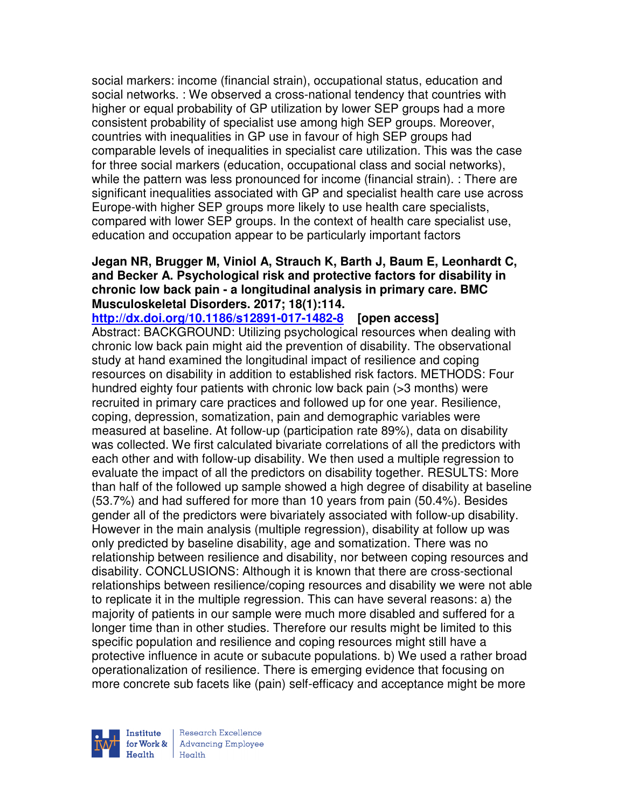social markers: income (financial strain), occupational status, education and social networks. : We observed a cross-national tendency that countries with higher or equal probability of GP utilization by lower SEP groups had a more consistent probability of specialist use among high SEP groups. Moreover, countries with inequalities in GP use in favour of high SEP groups had comparable levels of inequalities in specialist care utilization. This was the case for three social markers (education, occupational class and social networks), while the pattern was less pronounced for income (financial strain). : There are significant inequalities associated with GP and specialist health care use across Europe-with higher SEP groups more likely to use health care specialists, compared with lower SEP groups. In the context of health care specialist use, education and occupation appear to be particularly important factors

## **Jegan NR, Brugger M, Viniol A, Strauch K, Barth J, Baum E, Leonhardt C, and Becker A. Psychological risk and protective factors for disability in chronic low back pain - a longitudinal analysis in primary care. BMC Musculoskeletal Disorders. 2017; 18(1):114.**

**http://dx.doi.org/10.1186/s12891-017-1482-8 [open access]** Abstract: BACKGROUND: Utilizing psychological resources when dealing with chronic low back pain might aid the prevention of disability. The observational study at hand examined the longitudinal impact of resilience and coping resources on disability in addition to established risk factors. METHODS: Four hundred eighty four patients with chronic low back pain (>3 months) were recruited in primary care practices and followed up for one year. Resilience, coping, depression, somatization, pain and demographic variables were measured at baseline. At follow-up (participation rate 89%), data on disability was collected. We first calculated bivariate correlations of all the predictors with each other and with follow-up disability. We then used a multiple regression to evaluate the impact of all the predictors on disability together. RESULTS: More than half of the followed up sample showed a high degree of disability at baseline (53.7%) and had suffered for more than 10 years from pain (50.4%). Besides gender all of the predictors were bivariately associated with follow-up disability. However in the main analysis (multiple regression), disability at follow up was only predicted by baseline disability, age and somatization. There was no relationship between resilience and disability, nor between coping resources and disability. CONCLUSIONS: Although it is known that there are cross-sectional relationships between resilience/coping resources and disability we were not able to replicate it in the multiple regression. This can have several reasons: a) the majority of patients in our sample were much more disabled and suffered for a longer time than in other studies. Therefore our results might be limited to this specific population and resilience and coping resources might still have a protective influence in acute or subacute populations. b) We used a rather broad operationalization of resilience. There is emerging evidence that focusing on more concrete sub facets like (pain) self-efficacy and acceptance might be more

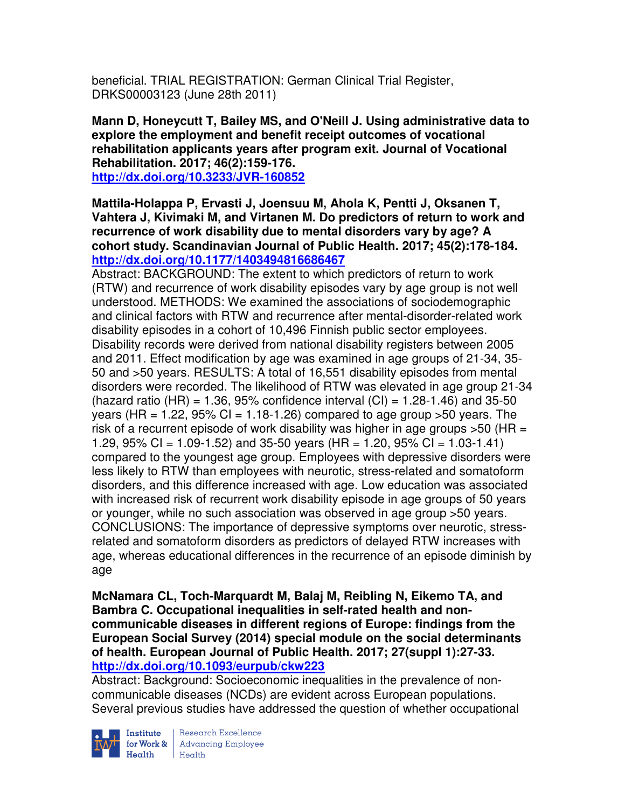beneficial. TRIAL REGISTRATION: German Clinical Trial Register, DRKS00003123 (June 28th 2011)

**Mann D, Honeycutt T, Bailey MS, and O'Neill J. Using administrative data to explore the employment and benefit receipt outcomes of vocational rehabilitation applicants years after program exit. Journal of Vocational Rehabilitation. 2017; 46(2):159-176.** 

**http://dx.doi.org/10.3233/JVR-160852** 

**Mattila-Holappa P, Ervasti J, Joensuu M, Ahola K, Pentti J, Oksanen T, Vahtera J, Kivimaki M, and Virtanen M. Do predictors of return to work and recurrence of work disability due to mental disorders vary by age? A cohort study. Scandinavian Journal of Public Health. 2017; 45(2):178-184. http://dx.doi.org/10.1177/1403494816686467** 

Abstract: BACKGROUND: The extent to which predictors of return to work (RTW) and recurrence of work disability episodes vary by age group is not well understood. METHODS: We examined the associations of sociodemographic and clinical factors with RTW and recurrence after mental-disorder-related work disability episodes in a cohort of 10,496 Finnish public sector employees. Disability records were derived from national disability registers between 2005 and 2011. Effect modification by age was examined in age groups of 21-34, 35- 50 and >50 years. RESULTS: A total of 16,551 disability episodes from mental disorders were recorded. The likelihood of RTW was elevated in age group 21-34 (hazard ratio (HR) = 1.36, 95% confidence interval (CI) = 1.28-1.46) and 35-50 years (HR = 1.22, 95% CI = 1.18-1.26) compared to age group  $>50$  years. The risk of a recurrent episode of work disability was higher in age groups  $>50$  (HR = 1.29, 95% CI = 1.09-1.52) and 35-50 years (HR = 1.20, 95% CI = 1.03-1.41) compared to the youngest age group. Employees with depressive disorders were less likely to RTW than employees with neurotic, stress-related and somatoform disorders, and this difference increased with age. Low education was associated with increased risk of recurrent work disability episode in age groups of 50 years or younger, while no such association was observed in age group >50 years. CONCLUSIONS: The importance of depressive symptoms over neurotic, stressrelated and somatoform disorders as predictors of delayed RTW increases with age, whereas educational differences in the recurrence of an episode diminish by age

**McNamara CL, Toch-Marquardt M, Balaj M, Reibling N, Eikemo TA, and Bambra C. Occupational inequalities in self-rated health and noncommunicable diseases in different regions of Europe: findings from the European Social Survey (2014) special module on the social determinants of health. European Journal of Public Health. 2017; 27(suppl 1):27-33. http://dx.doi.org/10.1093/eurpub/ckw223** 

Abstract: Background: Socioeconomic inequalities in the prevalence of noncommunicable diseases (NCDs) are evident across European populations. Several previous studies have addressed the question of whether occupational



**Institute** Research Excellence<br> **for Work &** Advancing Employee Health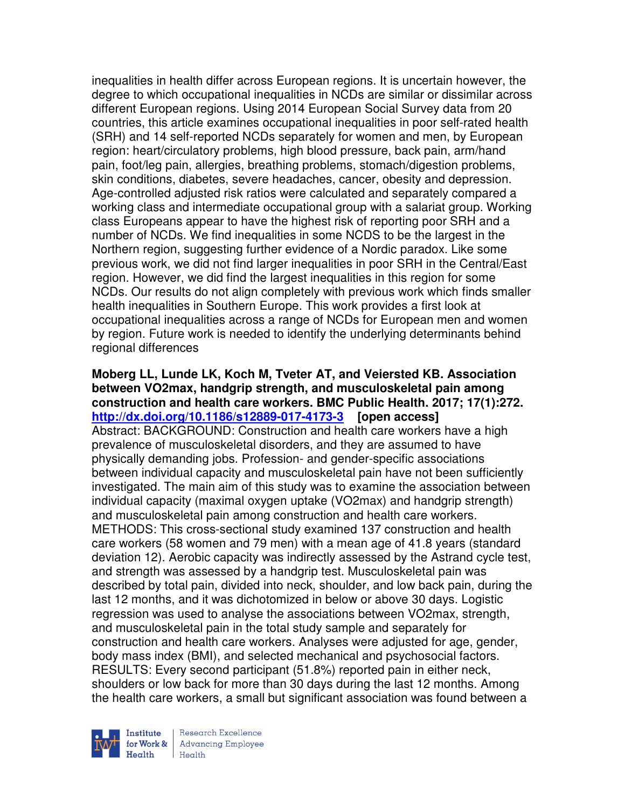inequalities in health differ across European regions. It is uncertain however, the degree to which occupational inequalities in NCDs are similar or dissimilar across different European regions. Using 2014 European Social Survey data from 20 countries, this article examines occupational inequalities in poor self-rated health (SRH) and 14 self-reported NCDs separately for women and men, by European region: heart/circulatory problems, high blood pressure, back pain, arm/hand pain, foot/leg pain, allergies, breathing problems, stomach/digestion problems, skin conditions, diabetes, severe headaches, cancer, obesity and depression. Age-controlled adjusted risk ratios were calculated and separately compared a working class and intermediate occupational group with a salariat group. Working class Europeans appear to have the highest risk of reporting poor SRH and a number of NCDs. We find inequalities in some NCDS to be the largest in the Northern region, suggesting further evidence of a Nordic paradox. Like some previous work, we did not find larger inequalities in poor SRH in the Central/East region. However, we did find the largest inequalities in this region for some NCDs. Our results do not align completely with previous work which finds smaller health inequalities in Southern Europe. This work provides a first look at occupational inequalities across a range of NCDs for European men and women by region. Future work is needed to identify the underlying determinants behind regional differences

### **Moberg LL, Lunde LK, Koch M, Tveter AT, and Veiersted KB. Association between VO2max, handgrip strength, and musculoskeletal pain among construction and health care workers. BMC Public Health. 2017; 17(1):272. http://dx.doi.org/10.1186/s12889-017-4173-3 [open access]** Abstract: BACKGROUND: Construction and health care workers have a high prevalence of musculoskeletal disorders, and they are assumed to have physically demanding jobs. Profession- and gender-specific associations between individual capacity and musculoskeletal pain have not been sufficiently investigated. The main aim of this study was to examine the association between individual capacity (maximal oxygen uptake (VO2max) and handgrip strength) and musculoskeletal pain among construction and health care workers. METHODS: This cross-sectional study examined 137 construction and health care workers (58 women and 79 men) with a mean age of 41.8 years (standard deviation 12). Aerobic capacity was indirectly assessed by the Astrand cycle test, and strength was assessed by a handgrip test. Musculoskeletal pain was described by total pain, divided into neck, shoulder, and low back pain, during the last 12 months, and it was dichotomized in below or above 30 days. Logistic regression was used to analyse the associations between VO2max, strength, and musculoskeletal pain in the total study sample and separately for construction and health care workers. Analyses were adjusted for age, gender, body mass index (BMI), and selected mechanical and psychosocial factors. RESULTS: Every second participant (51.8%) reported pain in either neck, shoulders or low back for more than 30 days during the last 12 months. Among the health care workers, a small but significant association was found between a



Research Excellence **Advancing Employee** Health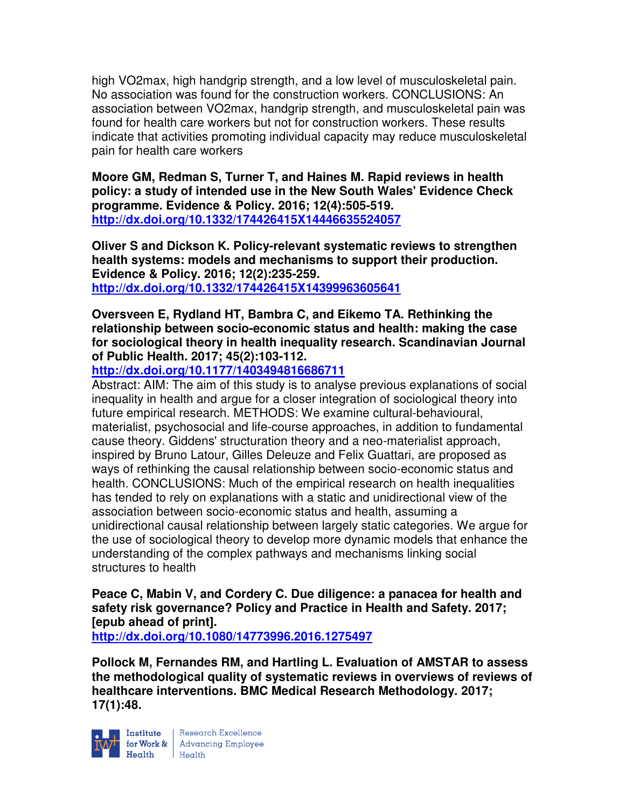high VO2max, high handgrip strength, and a low level of musculoskeletal pain. No association was found for the construction workers. CONCLUSIONS: An association between VO2max, handgrip strength, and musculoskeletal pain was found for health care workers but not for construction workers. These results indicate that activities promoting individual capacity may reduce musculoskeletal pain for health care workers

**Moore GM, Redman S, Turner T, and Haines M. Rapid reviews in health policy: a study of intended use in the New South Wales' Evidence Check programme. Evidence & Policy. 2016; 12(4):505-519. http://dx.doi.org/10.1332/174426415X14446635524057** 

**Oliver S and Dickson K. Policy-relevant systematic reviews to strengthen health systems: models and mechanisms to support their production. Evidence & Policy. 2016; 12(2):235-259. http://dx.doi.org/10.1332/174426415X14399963605641** 

**Oversveen E, Rydland HT, Bambra C, and Eikemo TA. Rethinking the relationship between socio-economic status and health: making the case for sociological theory in health inequality research. Scandinavian Journal of Public Health. 2017; 45(2):103-112.** 

**http://dx.doi.org/10.1177/1403494816686711** 

Abstract: AIM: The aim of this study is to analyse previous explanations of social inequality in health and argue for a closer integration of sociological theory into future empirical research. METHODS: We examine cultural-behavioural, materialist, psychosocial and life-course approaches, in addition to fundamental cause theory. Giddens' structuration theory and a neo-materialist approach, inspired by Bruno Latour, Gilles Deleuze and Felix Guattari, are proposed as ways of rethinking the causal relationship between socio-economic status and health. CONCLUSIONS: Much of the empirical research on health inequalities has tended to rely on explanations with a static and unidirectional view of the association between socio-economic status and health, assuming a unidirectional causal relationship between largely static categories. We argue for the use of sociological theory to develop more dynamic models that enhance the understanding of the complex pathways and mechanisms linking social structures to health

**Peace C, Mabin V, and Cordery C. Due diligence: a panacea for health and safety risk governance? Policy and Practice in Health and Safety. 2017; [epub ahead of print].** 

**http://dx.doi.org/10.1080/14773996.2016.1275497** 

**Pollock M, Fernandes RM, and Hartling L. Evaluation of AMSTAR to assess the methodological quality of systematic reviews in overviews of reviews of healthcare interventions. BMC Medical Research Methodology. 2017; 17(1):48.** 



Institute Research Excellence<br>
for Work & Advancing Employee<br>
Health Health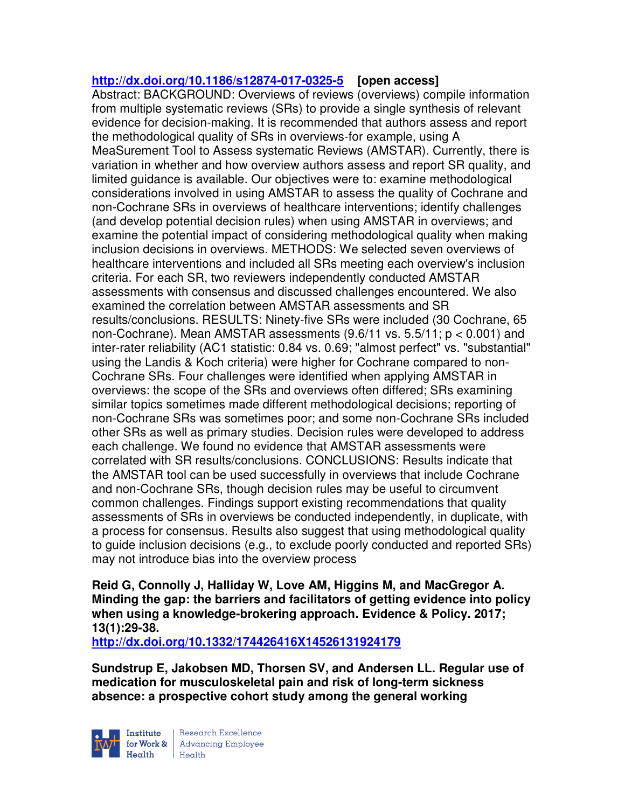# **http://dx.doi.org/10.1186/s12874-017-0325-5 [open access]**

Abstract: BACKGROUND: Overviews of reviews (overviews) compile information from multiple systematic reviews (SRs) to provide a single synthesis of relevant evidence for decision-making. It is recommended that authors assess and report the methodological quality of SRs in overviews-for example, using A MeaSurement Tool to Assess systematic Reviews (AMSTAR). Currently, there is variation in whether and how overview authors assess and report SR quality, and limited guidance is available. Our objectives were to: examine methodological considerations involved in using AMSTAR to assess the quality of Cochrane and non-Cochrane SRs in overviews of healthcare interventions; identify challenges (and develop potential decision rules) when using AMSTAR in overviews; and examine the potential impact of considering methodological quality when making inclusion decisions in overviews. METHODS: We selected seven overviews of healthcare interventions and included all SRs meeting each overview's inclusion criteria. For each SR, two reviewers independently conducted AMSTAR assessments with consensus and discussed challenges encountered. We also examined the correlation between AMSTAR assessments and SR results/conclusions. RESULTS: Ninety-five SRs were included (30 Cochrane, 65 non-Cochrane). Mean AMSTAR assessments (9.6/11 vs. 5.5/11; p < 0.001) and inter-rater reliability (AC1 statistic: 0.84 vs. 0.69; "almost perfect" vs. "substantial" using the Landis & Koch criteria) were higher for Cochrane compared to non-Cochrane SRs. Four challenges were identified when applying AMSTAR in overviews: the scope of the SRs and overviews often differed; SRs examining similar topics sometimes made different methodological decisions; reporting of non-Cochrane SRs was sometimes poor; and some non-Cochrane SRs included other SRs as well as primary studies. Decision rules were developed to address each challenge. We found no evidence that AMSTAR assessments were correlated with SR results/conclusions. CONCLUSIONS: Results indicate that the AMSTAR tool can be used successfully in overviews that include Cochrane and non-Cochrane SRs, though decision rules may be useful to circumvent common challenges. Findings support existing recommendations that quality assessments of SRs in overviews be conducted independently, in duplicate, with a process for consensus. Results also suggest that using methodological quality to guide inclusion decisions (e.g., to exclude poorly conducted and reported SRs) may not introduce bias into the overview process

**Reid G, Connolly J, Halliday W, Love AM, Higgins M, and MacGregor A. Minding the gap: the barriers and facilitators of getting evidence into policy when using a knowledge-brokering approach. Evidence & Policy. 2017; 13(1):29-38.** 

**http://dx.doi.org/10.1332/174426416X14526131924179** 

**Sundstrup E, Jakobsen MD, Thorsen SV, and Andersen LL. Regular use of medication for musculoskeletal pain and risk of long-term sickness absence: a prospective cohort study among the general working** 



Research Excellence for Work & | Advancing Employee Health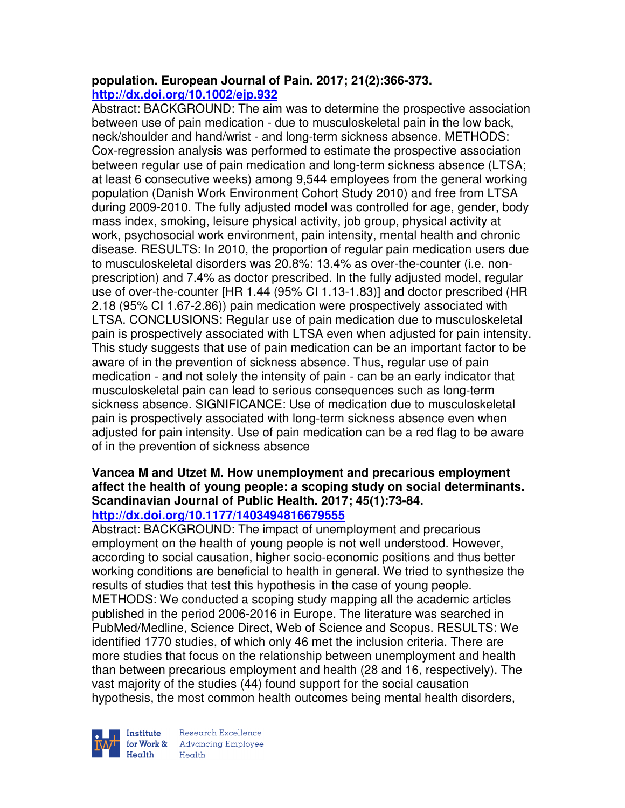# **population. European Journal of Pain. 2017; 21(2):366-373. http://dx.doi.org/10.1002/ejp.932**

Abstract: BACKGROUND: The aim was to determine the prospective association between use of pain medication - due to musculoskeletal pain in the low back, neck/shoulder and hand/wrist - and long-term sickness absence. METHODS: Cox-regression analysis was performed to estimate the prospective association between regular use of pain medication and long-term sickness absence (LTSA; at least 6 consecutive weeks) among 9,544 employees from the general working population (Danish Work Environment Cohort Study 2010) and free from LTSA during 2009-2010. The fully adjusted model was controlled for age, gender, body mass index, smoking, leisure physical activity, job group, physical activity at work, psychosocial work environment, pain intensity, mental health and chronic disease. RESULTS: In 2010, the proportion of regular pain medication users due to musculoskeletal disorders was 20.8%: 13.4% as over-the-counter (i.e. nonprescription) and 7.4% as doctor prescribed. In the fully adjusted model, regular use of over-the-counter [HR 1.44 (95% CI 1.13-1.83)] and doctor prescribed (HR 2.18 (95% CI 1.67-2.86)) pain medication were prospectively associated with LTSA. CONCLUSIONS: Regular use of pain medication due to musculoskeletal pain is prospectively associated with LTSA even when adjusted for pain intensity. This study suggests that use of pain medication can be an important factor to be aware of in the prevention of sickness absence. Thus, regular use of pain medication - and not solely the intensity of pain - can be an early indicator that musculoskeletal pain can lead to serious consequences such as long-term sickness absence. SIGNIFICANCE: Use of medication due to musculoskeletal pain is prospectively associated with long-term sickness absence even when adjusted for pain intensity. Use of pain medication can be a red flag to be aware of in the prevention of sickness absence

#### **Vancea M and Utzet M. How unemployment and precarious employment affect the health of young people: a scoping study on social determinants. Scandinavian Journal of Public Health. 2017; 45(1):73-84. http://dx.doi.org/10.1177/1403494816679555**

Abstract: BACKGROUND: The impact of unemployment and precarious employment on the health of young people is not well understood. However, according to social causation, higher socio-economic positions and thus better working conditions are beneficial to health in general. We tried to synthesize the results of studies that test this hypothesis in the case of young people. METHODS: We conducted a scoping study mapping all the academic articles published in the period 2006-2016 in Europe. The literature was searched in PubMed/Medline, Science Direct, Web of Science and Scopus. RESULTS: We identified 1770 studies, of which only 46 met the inclusion criteria. There are more studies that focus on the relationship between unemployment and health than between precarious employment and health (28 and 16, respectively). The vast majority of the studies (44) found support for the social causation hypothesis, the most common health outcomes being mental health disorders,



Research Excellence for Work & | Advancing Employee Health